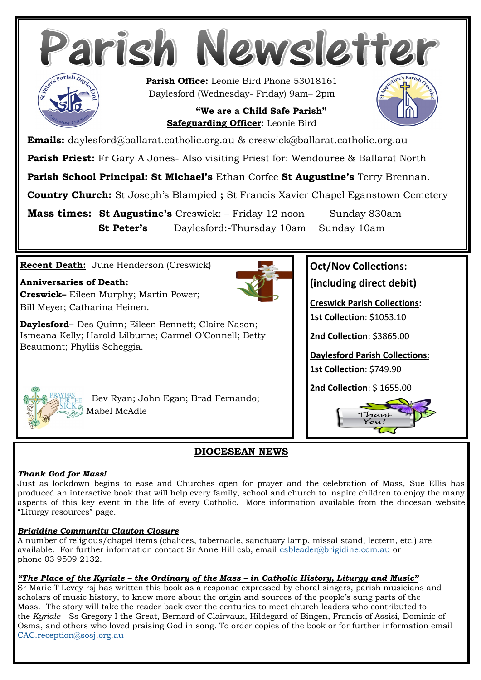

**Mass times: St Augustine's** Creswick: – Friday 12 noon Sunday 830am **St Peter's** Daylesford:-Thursday 10am Sunday 10am

## **Recent Death:** June Henderson (Creswick)

### **Anniversaries of Death:**

**Creswick–** Eileen Murphy; Martin Power; Bill Meyer; Catharina Heinen.

**Daylesford–** Des Quinn; Eileen Bennett; Claire Nason; Ismeana Kelly; Harold Lilburne; Carmel O'Connell; Betty Beaumont; Phyliis Scheggia.



# **Oct/Nov Collections:**

**(including direct debit)**

**Creswick Parish Collections: 1st Collection**: \$1053.10

**2nd Collection**: \$3865.00

**Daylesford Parish Collections**: **1st Collection**: \$749.90

**2nd Collection**: \$ 1655.00





 Bev Ryan; John Egan; Brad Fernando; Mabel McAdle

# **DIOCESEAN NEWS**

### *Thank God for Mass!*

Just as lockdown begins to ease and Churches open for prayer and the celebration of Mass, Sue Ellis has produced an interactive book that will help every family, school and church to inspire children to enjoy the many aspects of this key event in the life of every Catholic. More information available from the diocesan website "Liturgy resources" page.

### *Brigidine Community Clayton Closure*

A number of religious/chapel items (chalices, tabernacle, sanctuary lamp, missal stand, lectern, etc.) are available. For further information contact Sr Anne Hill csb, email [csbleader@brigidine.com.au](mailto:csbleader@brigidine.com.au) or phone 03 9509 2132.

# *"The Place of the Kyriale – the Ordinary of the Mass – in Catholic History, Liturgy and Music"*

Sr Marie T Levey rsj has written this book as a response expressed by choral singers, parish musicians and scholars of music history, to know more about the origin and sources of the people's sung parts of the Mass. The story will take the reader back over the centuries to meet church leaders who contributed to the *Kyriale* - Ss Gregory I the Great, Bernard of Clairvaux, Hildegard of Bingen, Francis of Assisi, Dominic of Osma, and others who loved praising God in song. To order copies of the book or for further information email [CAC.reception@sosj.org.au](mailto:CAC.reception@sosj.org.au)